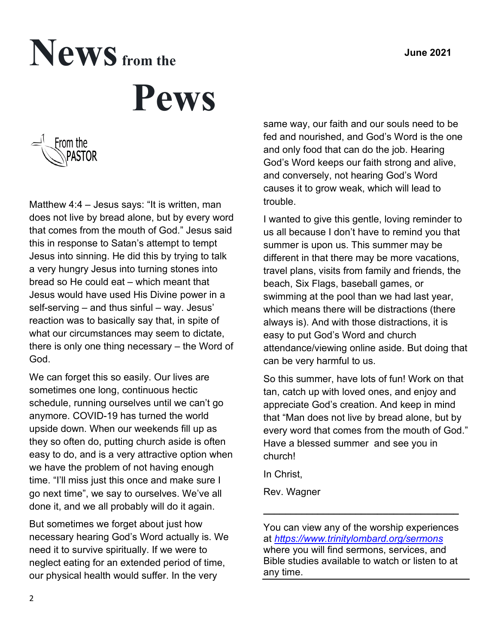# News from the  **Pews**



Matthew 4:4 – Jesus says: "It is written, man does not live by bread alone, but by every word that comes from the mouth of God." Jesus said this in response to Satan's attempt to tempt Jesus into sinning. He did this by trying to talk a very hungry Jesus into turning stones into bread so He could eat – which meant that Jesus would have used His Divine power in a self-serving – and thus sinful – way. Jesus' reaction was to basically say that, in spite of what our circumstances may seem to dictate, there is only one thing necessary – the Word of God.

We can forget this so easily. Our lives are sometimes one long, continuous hectic schedule, running ourselves until we can't go anymore. COVID-19 has turned the world upside down. When our weekends fill up as they so often do, putting church aside is often easy to do, and is a very attractive option when we have the problem of not having enough time. "I'll miss just this once and make sure I go next time", we say to ourselves. We've all done it, and we all probably will do it again.

But sometimes we forget about just how necessary hearing God's Word actually is. We need it to survive spiritually. If we were to neglect eating for an extended period of time, our physical health would suffer. In the very

same way, our faith and our souls need to be fed and nourished, and God's Word is the one and only food that can do the job. Hearing God's Word keeps our faith strong and alive, and conversely, not hearing God's Word causes it to grow weak, which will lead to trouble.

I wanted to give this gentle, loving reminder to us all because I don't have to remind you that summer is upon us. This summer may be different in that there may be more vacations, travel plans, visits from family and friends, the beach, Six Flags, baseball games, or swimming at the pool than we had last year, which means there will be distractions (there always is). And with those distractions, it is easy to put God's Word and church attendance/viewing online aside. But doing that can be very harmful to us.

So this summer, have lots of fun! Work on that tan, catch up with loved ones, and enjoy and appreciate God's creation. And keep in mind that "Man does not live by bread alone, but by every word that comes from the mouth of God." Have a blessed summer and see you in church!

In Christ,

Rev. Wagner

You can view any of the worship experiences at *<https://www.trinitylombard.org/sermons>* where you will find sermons, services, and Bible studies available to watch or listen to at any time.

**\_\_\_\_\_\_\_\_\_\_\_\_\_\_\_\_\_\_\_\_\_\_\_\_\_\_\_\_\_\_\_\_\_\_\_\_**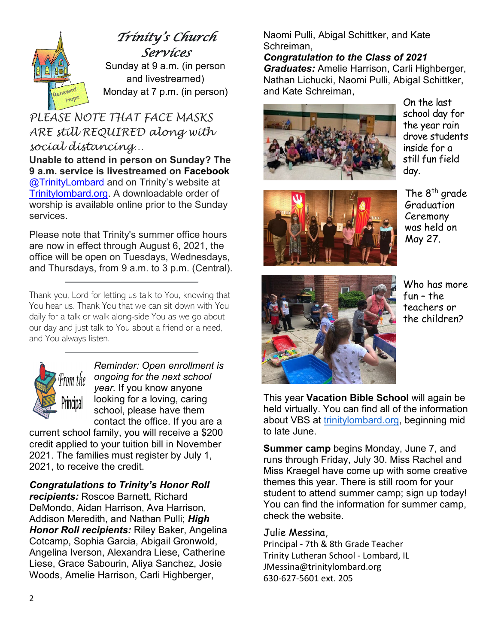

#### *Trinity's Church Services*

Sunday at 9 a.m. (in person and livestreamed) Monday at 7 p.m. (in person)

#### *PLEASE NOTE THAT FACE MASKS ARE still REQUIRED along with social distancing…*

**Unable to attend in person on Sunday? The 9 a.m. service is livestreamed on Facebook** [@TrinityLombard](https://www.facebook.com/TrinityLombard) and on Trinity's website at [Trinitylombard.org.](https://www.trinitylombard.org/) A downloadable order of worship is available online prior to the Sunday services.

Please note that Trinity's summer office hours are now in effect through August 6, 2021, the office will be open on Tuesdays, Wednesdays, and Thursdays, from 9 a.m. to 3 p.m. (Central).

 $\frac{1}{2}$  ,  $\frac{1}{2}$  ,  $\frac{1}{2}$  ,  $\frac{1}{2}$  ,  $\frac{1}{2}$  ,  $\frac{1}{2}$  ,  $\frac{1}{2}$  ,  $\frac{1}{2}$  ,  $\frac{1}{2}$  ,  $\frac{1}{2}$  ,  $\frac{1}{2}$  ,  $\frac{1}{2}$  ,  $\frac{1}{2}$  ,  $\frac{1}{2}$  ,  $\frac{1}{2}$  ,  $\frac{1}{2}$  ,  $\frac{1}{2}$  ,  $\frac{1}{2}$  ,  $\frac{1$ 

Thank you, Lord for letting us talk to You, knowing that You hear us. Thank You that we can sit down with You daily for a talk or walk along-side You as we go about our day and just talk to You about a friend or a need, and You always listen.

\_\_\_\_\_\_\_\_\_\_\_\_\_\_\_\_\_\_\_\_\_\_\_\_\_\_\_\_\_\_\_\_\_\_\_\_\_\_\_\_\_



*Reminder: Open enrollment is ongoing for the next school year.* If you know anyone looking for a loving, caring school, please have them contact the office. If you are a

current school family, you will receive a \$200 credit applied to your tuition bill in November 2021. The families must register by July 1, 2021, to receive the credit.

*Congratulations to Trinity's Honor Roll* 

*recipients:* Roscoe Barnett, Richard DeMondo, Aidan Harrison, Ava Harrison, Addison Meredith, and Nathan Pulli; *High Honor Roll recipients:* Riley Baker, Angelina Cotcamp, Sophia Garcia, Abigail Gronwold, Angelina Iverson, Alexandra Liese, Catherine Liese, Grace Sabourin, Aliya Sanchez, Josie Woods, Amelie Harrison, Carli Highberger,

Naomi Pulli, Abigal Schittker, and Kate Schreiman,

*Congratulation to the Class of 2021 Graduates:* Amelie Harrison, Carli Highberger, Nathan Lichucki, Naomi Pulli, Abigal Schittker, and Kate Schreiman,



On the last school day for the year rain drove students inside for a still fun field day.



The 8<sup>th</sup> grade Graduation Ceremony was held on May 27.



Who has more fun – the teachers or the children?

This year **Vacation Bible School** will again be held virtually. You can find all of the information about VBS at [trinitylombard.org,](http://trinitylombard.org/) beginning mid to late June.

**Summer camp** begins Monday, June 7, and runs through Friday, July 30. Miss Rachel and Miss Kraegel have come up with some creative themes this year. There is still room for your student to attend summer camp; sign up today! You can find the information for summer camp, check the website.

#### Julie Messina,

Principal - 7th & 8th Grade Teacher Trinity Lutheran School - Lombard, IL JMessina@trinitylombard.org 630-627-5601 ext. 205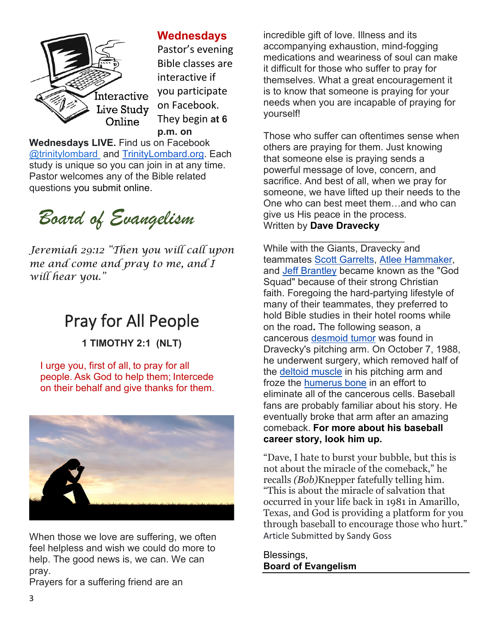

#### **Wednesdays**

Pastor's evening Bible classes are interactive if you participate on Facebook. They begin **at 6 p.m. on** 

**Wednesdays LIVE.** Find us on Facebook [@trinitylombard](about:blank) and [TrinityLombard.org.](http://www.trinitylombard.org/) Each study is unique so you can join in at any time. Pastor welcomes any of the Bible related questions you submit online.



*Jeremiah 29:12 "Then you will call upon me and come and pray to me, and I will hear you."*

# Pray for All People

**1 TIMOTHY 2:1 (NLT)**

I urge you, first of all, to pray for all people. Ask God to help them; Intercede on their behalf and give thanks for them.



When those we love are suffering, we often feel helpless and wish we could do more to help. The good news is, we can. We can pray.

Prayers for a suffering friend are an

incredible gift of love. Illness and its accompanying exhaustion, mind-fogging medications and weariness of soul can make it difficult for those who suffer to pray for themselves. What a great encouragement it is to know that someone is praying for your needs when you are incapable of praying for yourself!

Those who suffer can oftentimes sense when others are praying for them. Just knowing that someone else is praying sends a powerful message of love, concern, and sacrifice. And best of all, when we pray for someone, we have lifted up their needs to the One who can best meet them…and who can give us His peace in the process. Written by **Dave Dravecky**

 $\overline{\phantom{a}}$  ,  $\overline{\phantom{a}}$  ,  $\overline{\phantom{a}}$  ,  $\overline{\phantom{a}}$  ,  $\overline{\phantom{a}}$  ,  $\overline{\phantom{a}}$  ,  $\overline{\phantom{a}}$  ,  $\overline{\phantom{a}}$  ,  $\overline{\phantom{a}}$  ,  $\overline{\phantom{a}}$  ,  $\overline{\phantom{a}}$  ,  $\overline{\phantom{a}}$  ,  $\overline{\phantom{a}}$  ,  $\overline{\phantom{a}}$  ,  $\overline{\phantom{a}}$  ,  $\overline{\phantom{a}}$ While with the Giants, Dravecky and teammates [Scott Garrelts,](https://en.wikipedia.org/wiki/Scott_Garrelts) [Atlee Hammaker,](https://en.wikipedia.org/wiki/Atlee_Hammaker) and [Jeff Brantley](https://en.wikipedia.org/wiki/Jeff_Brantley) became known as the "God Squad" because of their strong Christian faith. Foregoing the hard-partying lifestyle of many of their teammates, they preferred to hold Bible studies in their hotel rooms while on the road**.** The following season, a cancerous [desmoid tumor](https://en.wikipedia.org/wiki/Desmoid_tumor) was found in Dravecky's pitching arm. On October 7, 1988, he underwent surgery, which removed half of the [deltoid muscle](https://en.wikipedia.org/wiki/Deltoid_muscle) in his pitching arm and froze the [humerus bone](https://en.wikipedia.org/wiki/Humerus_bone) in an effort to eliminate all of the cancerous cells. Baseball fans are probably familiar about his story. He eventually broke that arm after an amazing comeback. **For more about his baseball career story, look him up.**

"Dave, I hate to burst your bubble, but this is not about the miracle of the comeback," he recalls *(Bob)*Knepper fatefully telling him. "This is about the miracle of salvation that occurred in your life back in 1981 in Amarillo, Texas, and God is providing a platform for you through baseball to encourage those who hurt." Article Submitted by Sandy Goss

Blessings, **Board of Evangelism**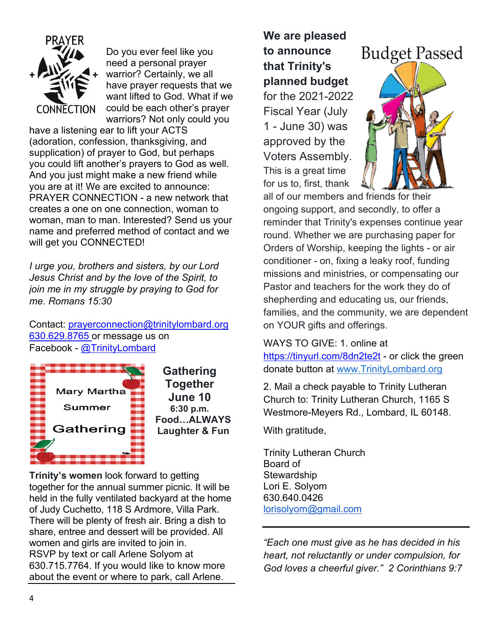

Do you ever feel like you need a personal prayer warrior? Certainly, we all have prayer requests that we want lifted to God. What if we could be each other's prayer warriors? Not only could you

have a listening ear to lift your ACTS (adoration, confession, thanksgiving, and supplication) of prayer to God, but perhaps you could lift another's prayers to God as well. And you just might make a new friend while you are at it! We are excited to announce: PRAYER CONNECTION - a new network that creates a one on one connection, woman to woman, man to man. Interested? Send us your name and preferred method of contact and we will get you CONNECTED!

*I urge you, brothers and sisters, by our Lord Jesus Christ and by the love of the Spirit, to join me in my struggle by praying to God for me. Romans 15:30*

Contact: [prayerconnection@trinitylombard.org](mailto:prayerconnection@trinitylombard.org) [630.629.8765](tel:+1-630-629-8765) or message us on Facebook - [@TrinityLombard](https://www.facebook.com/TrinityLombard/)



**Gathering Together June 10 6:30 p.m. Food…ALWAYS Laughter & Fun**

**Trinity's women** look forward to getting together for the annual summer picnic. It will be held in the fully ventilated backyard at the home of Judy Cuchetto, 118 S Ardmore, Villa Park. There will be plenty of fresh air. Bring a dish to share, entree and dessert will be provided. All women and girls are invited to join in. RSVP by text or call Arlene Solyom at 630.715.7764. If you would like to know more about the event or where to park, call Arlene.

**We are pleased to announce that Trinity's planned budget** for the 2021-2022 Fiscal Year (July 1 - June 30) was approved by the Voters Assembly. This is a great time for us to, first, thank



all of our members and friends for their ongoing support, and secondly, to offer a reminder that Trinity's expenses continue year round. Whether we are purchasing paper for Orders of Worship, keeping the lights - or air conditioner - on, fixing a leaky roof, funding missions and ministries, or compensating our Pastor and teachers for the work they do of shepherding and educating us, our friends, families, and the community, we are dependent on YOUR gifts and offerings.

WAYS TO GIVE: 1. online at

<https://tinyurl.com/8dn2te2t> - or click the green donate button at [www.TrinityLombard.org](http://www.trinitylombard.org/?fbclid=IwAR3RQt7kGvTE_SZ8RbPM82rwvzR_Xz_P5x1JejRriQ70CScrPTsnjw7CLMY)

2. Mail a check payable to Trinity Lutheran Church to: Trinity Lutheran Church, 1165 S Westmore-Meyers Rd., Lombard, IL 60148.

With gratitude,

Trinity Lutheran Church Board of **Stewardship** Lori E. Solyom 630.640.0426 [lorisolyom@gmail.com](mailto:lorisolyom@gmail.com)

*"Each one must give as he has decided in his heart, not reluctantly or under compulsion, for God loves a cheerful giver." 2 Corinthians 9:7*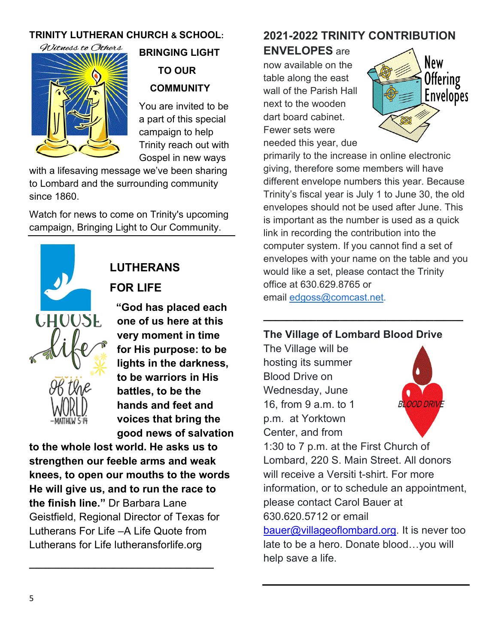#### **TRINITY LUTHERAN CHURCH & SCHOOL:**



# **BRINGING LIGHT TO OUR COMMUNITY**

You are invited to be a part of this special campaign to help Trinity reach out with Gospel in new ways

with a lifesaving message we've been sharing to Lombard and the surrounding community since 1860.

Watch for news to come on Trinity's upcoming campaign, Bringing Light to Our Community.



### **LUTHERANS FOR LIFE**

**"God has placed each one of us here at this very moment in time for His purpose: to be lights in the darkness, to be warriors in His battles, to be the hands and feet and voices that bring the good news of salvation** 

**to the whole lost world. He asks us to strengthen our feeble arms and weak knees, to open our mouths to the words He will give us, and to run the race to the finish line."** Dr Barbara Lane Geistfield, Regional Director of Texas for Lutherans For Life –A Life Quote from Lutherans for Life lutheransforlife.org

**\_\_\_\_\_\_\_\_\_\_\_\_\_\_\_\_\_\_\_\_\_\_\_\_\_\_\_\_\_\_\_\_\_\_**

#### **2021-2022 TRINITY CONTRIBUTION**

**ENVELOPES** are

now available on the table along the east wall of the Parish Hall next to the wooden dart board cabinet. Fewer sets were needed this year, due



primarily to the increase in online electronic giving, therefore some members will have different envelope numbers this year. Because Trinity's fiscal year is July 1 to June 30, the old envelopes should not be used after June. This is important as the number is used as a quick link in recording the contribution into the computer system. If you cannot find a set of envelopes with your name on the table and you would like a set, please contact the Trinity office at 630.629.8765 or email [edgoss@comcast.net.](mailto:edgoss@comcast.net)

#### **The Village of Lombard Blood Drive**

**\_\_\_\_\_\_\_\_\_\_\_\_\_\_\_\_\_\_\_\_\_\_\_\_\_\_\_\_\_\_\_\_\_\_**

The Village will be hosting its summer Blood Drive on Wednesday, June 16, from 9 a.m. to 1 p.m. at Yorktown Center, and from



1:30 to 7 p.m. at the First Church of Lombard, 220 S. Main Street. All donors will receive a Versiti t-shirt. For more information, or to schedule an appointment, please contact Carol Bauer at 630.620.5712 or email [bauer@villageoflombard.org.](mailto:bauer@villageoflombard.org) It is never too

late to be a hero. Donate blood…you will help save a life.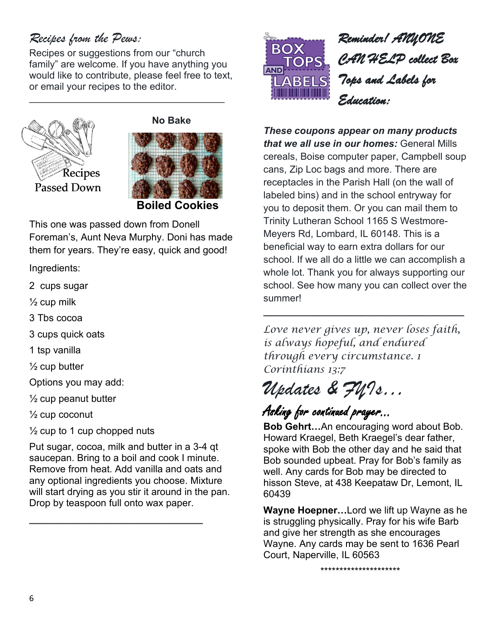#### *Recipes from the Pews:*

Recipes or suggestions from our "church family" are welcome. If you have anything you would like to contribute, please feel free to text, or email your recipes to the editor.

\_\_\_\_\_\_\_\_\_\_\_\_\_\_\_\_\_\_\_\_\_\_\_\_\_\_\_\_\_\_\_\_\_\_\_\_







This one was passed down from Donell Foreman's, Aunt Neva Murphy. Doni has made them for years. They're easy, quick and good!

Ingredients:

- 2 cups sugar
- $\frac{1}{2}$  cup milk
- 3 Tbs cocoa
- 3 cups quick oats
- 1 tsp vanilla
- $\frac{1}{2}$  cup butter

Options you may add:

 $\frac{1}{2}$  cup peanut butter

 $\frac{1}{2}$  cup coconut

 $\frac{1}{2}$  cup to 1 cup chopped nuts

Put sugar, cocoa, milk and butter in a 3-4 qt saucepan. Bring to a boil and cook I minute. Remove from heat. Add vanilla and oats and any optional ingredients you choose. Mixture will start drying as you stir it around in the pan. Drop by teaspoon full onto wax paper.

**\_\_\_\_\_\_\_\_\_\_\_\_\_\_\_\_\_\_\_\_\_\_\_\_\_\_\_\_\_\_\_\_**



*These coupons appear on many products that we all use in our homes:* General Mills cereals, Boise computer paper, Campbell soup cans, Zip Loc bags and more. There are receptacles in the Parish Hall (on the wall of labeled bins) and in the school entryway for you to deposit them. Or you can mail them to Trinity Lutheran School 1165 S Westmore-Meyers Rd, Lombard, IL 60148. This is a beneficial way to earn extra dollars for our school. If we all do a little we can accomplish a whole lot. Thank you for always supporting our school. See how many you can collect over the summer!

*Love never gives up, never loses faith, is always hopeful, and endured through every circumstance. 1 Corinthians 13:7*

**\_\_\_\_\_\_\_\_\_\_\_\_\_\_\_\_\_\_\_\_\_\_\_\_\_\_\_\_\_\_\_\_\_\_\_\_\_**

# *Updates & FYIs…*

## Asking for continued prayer...

**Bob Gehrt…**An encouraging word about Bob. Howard Kraegel, Beth Kraegel's dear father, spoke with Bob the other day and he said that Bob sounded upbeat. Pray for Bob's family as well. Any cards for Bob may be directed to hisson Steve, at 438 Keepataw Dr, Lemont, IL 60439

**Wayne Hoepner…**Lord we lift up Wayne as he is struggling physically. Pray for his wife Barb and give her strength as she encourages Wayne. Any cards may be sent to 1636 Pearl Court, Naperville, IL 60563

\*\*\*\*\*\*\*\*\*\*\*\*\*\*\*\*\*\*\*\*\*